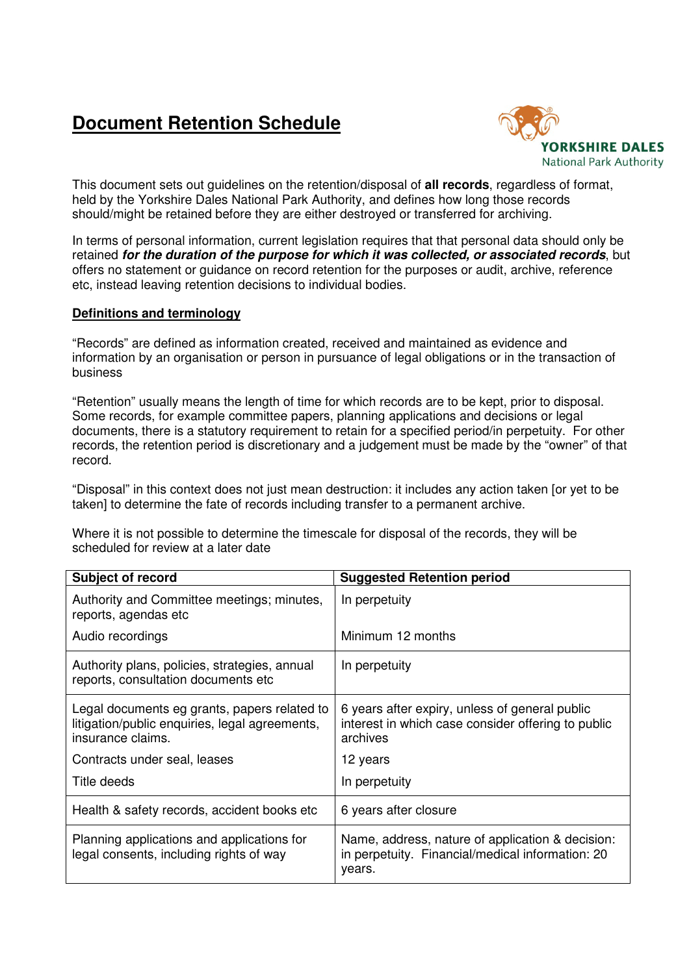## **Document Retention Schedule**



This document sets out guidelines on the retention/disposal of **all records**, regardless of format, held by the Yorkshire Dales National Park Authority, and defines how long those records should/might be retained before they are either destroyed or transferred for archiving.

In terms of personal information, current legislation requires that that personal data should only be retained **for the duration of the purpose for which it was collected, or associated records**, but offers no statement or guidance on record retention for the purposes or audit, archive, reference etc, instead leaving retention decisions to individual bodies.

## **Definitions and terminology**

"Records" are defined as information created, received and maintained as evidence and information by an organisation or person in pursuance of legal obligations or in the transaction of business

"Retention" usually means the length of time for which records are to be kept, prior to disposal. Some records, for example committee papers, planning applications and decisions or legal documents, there is a statutory requirement to retain for a specified period/in perpetuity. For other records, the retention period is discretionary and a judgement must be made by the "owner" of that record.

"Disposal" in this context does not just mean destruction: it includes any action taken [or yet to be taken] to determine the fate of records including transfer to a permanent archive.

Where it is not possible to determine the timescale for disposal of the records, they will be scheduled for review at a later date

| <b>Subject of record</b>                                                                                            | <b>Suggested Retention period</b>                                                                                |
|---------------------------------------------------------------------------------------------------------------------|------------------------------------------------------------------------------------------------------------------|
| Authority and Committee meetings; minutes,<br>reports, agendas etc                                                  | In perpetuity                                                                                                    |
| Audio recordings                                                                                                    | Minimum 12 months                                                                                                |
| Authority plans, policies, strategies, annual<br>reports, consultation documents etc                                | In perpetuity                                                                                                    |
| Legal documents eg grants, papers related to<br>litigation/public enquiries, legal agreements,<br>insurance claims. | 6 years after expiry, unless of general public<br>interest in which case consider offering to public<br>archives |
| Contracts under seal, leases                                                                                        | 12 years                                                                                                         |
| Title deeds                                                                                                         | In perpetuity                                                                                                    |
| Health & safety records, accident books etc                                                                         | 6 years after closure                                                                                            |
| Planning applications and applications for<br>legal consents, including rights of way                               | Name, address, nature of application & decision:<br>in perpetuity. Financial/medical information: 20<br>years.   |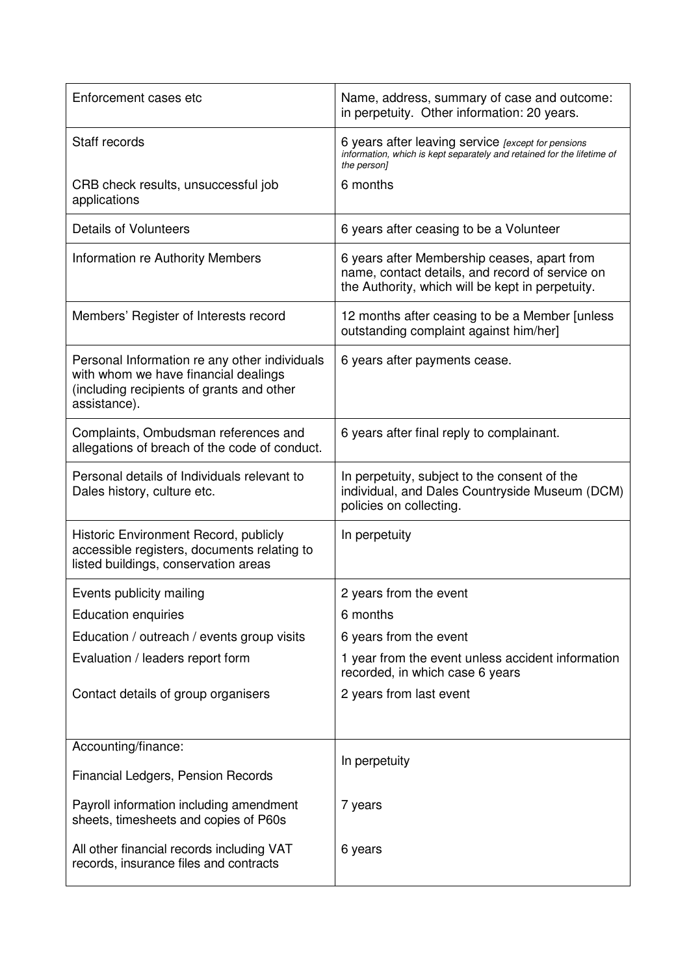| Enforcement cases etc                                                                                                                              | Name, address, summary of case and outcome:<br>in perpetuity. Other information: 20 years.                                                         |
|----------------------------------------------------------------------------------------------------------------------------------------------------|----------------------------------------------------------------------------------------------------------------------------------------------------|
| Staff records                                                                                                                                      | 6 years after leaving service [except for pensions<br>information, which is kept separately and retained for the lifetime of<br>the person]        |
| CRB check results, unsuccessful job<br>applications                                                                                                | 6 months                                                                                                                                           |
| <b>Details of Volunteers</b>                                                                                                                       | 6 years after ceasing to be a Volunteer                                                                                                            |
| Information re Authority Members                                                                                                                   | 6 years after Membership ceases, apart from<br>name, contact details, and record of service on<br>the Authority, which will be kept in perpetuity. |
| Members' Register of Interests record                                                                                                              | 12 months after ceasing to be a Member [unless]<br>outstanding complaint against him/her]                                                          |
| Personal Information re any other individuals<br>with whom we have financial dealings<br>(including recipients of grants and other<br>assistance). | 6 years after payments cease.                                                                                                                      |
| Complaints, Ombudsman references and<br>allegations of breach of the code of conduct.                                                              | 6 years after final reply to complainant.                                                                                                          |
| Personal details of Individuals relevant to<br>Dales history, culture etc.                                                                         | In perpetuity, subject to the consent of the<br>individual, and Dales Countryside Museum (DCM)<br>policies on collecting.                          |
| Historic Environment Record, publicly<br>accessible registers, documents relating to<br>listed buildings, conservation areas                       | In perpetuity                                                                                                                                      |
| Events publicity mailing                                                                                                                           | 2 years from the event                                                                                                                             |
| <b>Education enquiries</b>                                                                                                                         | 6 months                                                                                                                                           |
| Education / outreach / events group visits                                                                                                         | 6 years from the event                                                                                                                             |
| Evaluation / leaders report form                                                                                                                   | 1 year from the event unless accident information<br>recorded, in which case 6 years                                                               |
| Contact details of group organisers                                                                                                                | 2 years from last event                                                                                                                            |
|                                                                                                                                                    |                                                                                                                                                    |
| Accounting/finance:                                                                                                                                | In perpetuity                                                                                                                                      |
| Financial Ledgers, Pension Records                                                                                                                 |                                                                                                                                                    |
| Payroll information including amendment<br>sheets, timesheets and copies of P60s                                                                   | 7 years                                                                                                                                            |
| All other financial records including VAT<br>records, insurance files and contracts                                                                | 6 years                                                                                                                                            |